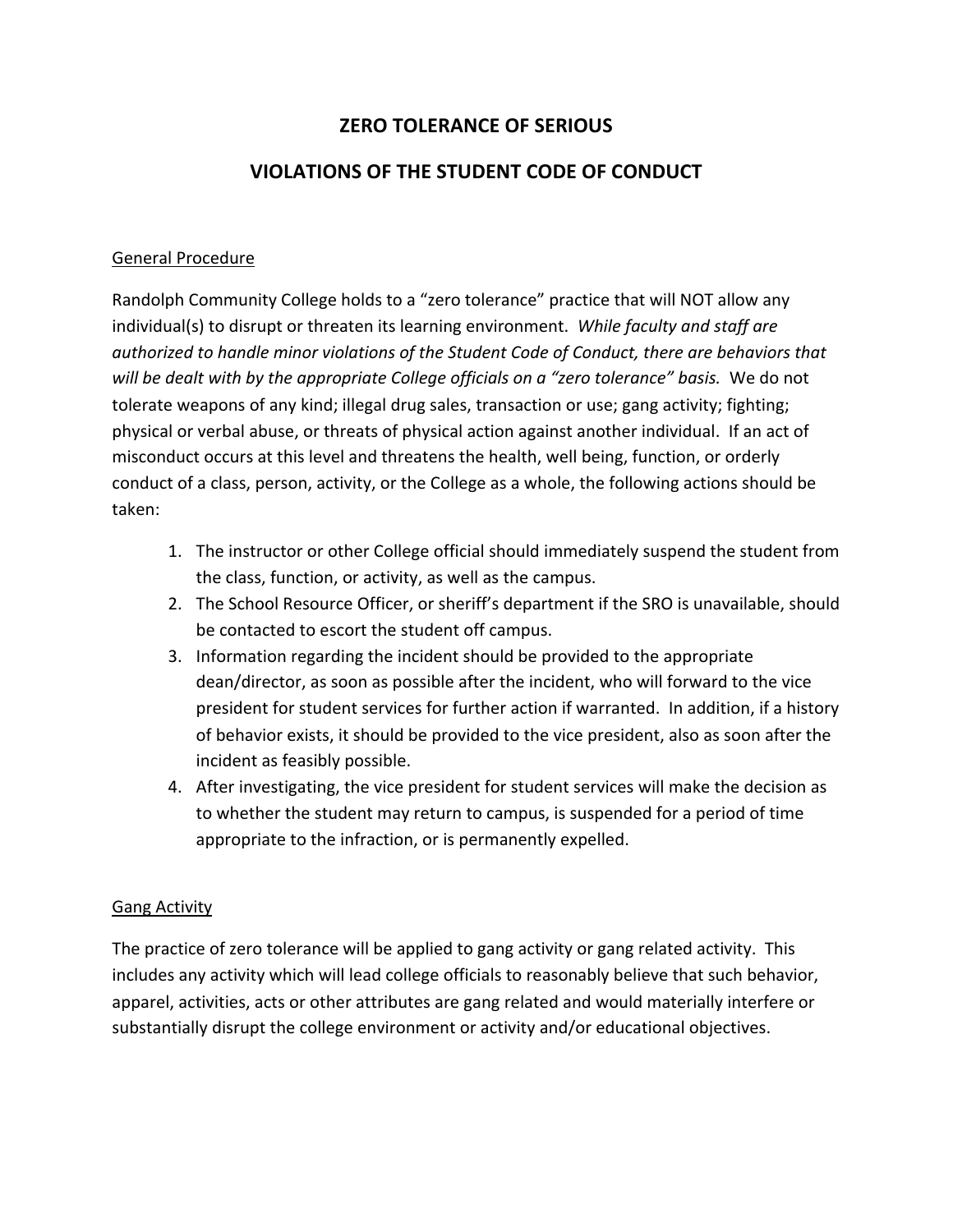## **ZERO TOLERANCE OF SERIOUS**

## **VIOLATIONS OF THE STUDENT CODE OF CONDUCT**

## General
Procedure

Randolph Community College holds to a "zero tolerance" practice that will NOT allow any individual(s) to disrupt or threaten its learning environment. While faculty and staff are authorized to handle minor violations of the Student Code of Conduct, there are behaviors that will be dealt with by the appropriate College officials on a "zero tolerance" basis. We do not tolerate weapons of any kind; illegal drug sales, transaction or use; gang activity; fighting; physical or verbal abuse, or threats of physical action against another individual. If an act of misconduct
occurs
at
this
level
and
threatens
the
health,
well
being,
function,
or
orderly conduct of a class, person, activity, or the College as a whole, the following actions should be taken:

- 1. The instructor or other College official should immediately suspend the student from the
class,
function, or
activity,
as
well
as
the
campus.
- 2. The School Resource Officer, or sheriff's department if the SRO is unavailable, should be
contacted
to
escort
the
student
off
campus.
- 3. Information
regarding
the
incident
should
be
provided
to
the
appropriate dean/director, as soon as possible after the incident, who will forward to the vice president for student services for further action if warranted. In addition, if a history of behavior exists, it should be provided to the vice president, also as soon after the incident
as
feasibly
possible.
- 4. After investigating, the vice president for student services will make the decision as to whether the student may return to campus, is suspended for a period of time appropriate to the infraction, or is permanently expelled.

## Gang
Activity

The practice of zero tolerance will be applied to gang activity or gang related activity. This includes any activity which will lead college officials to reasonably believe that such behavior, apparel, activities, acts or other attributes are gang related and would materially interfere or substantially disrupt the college environment or activity and/or educational objectives.